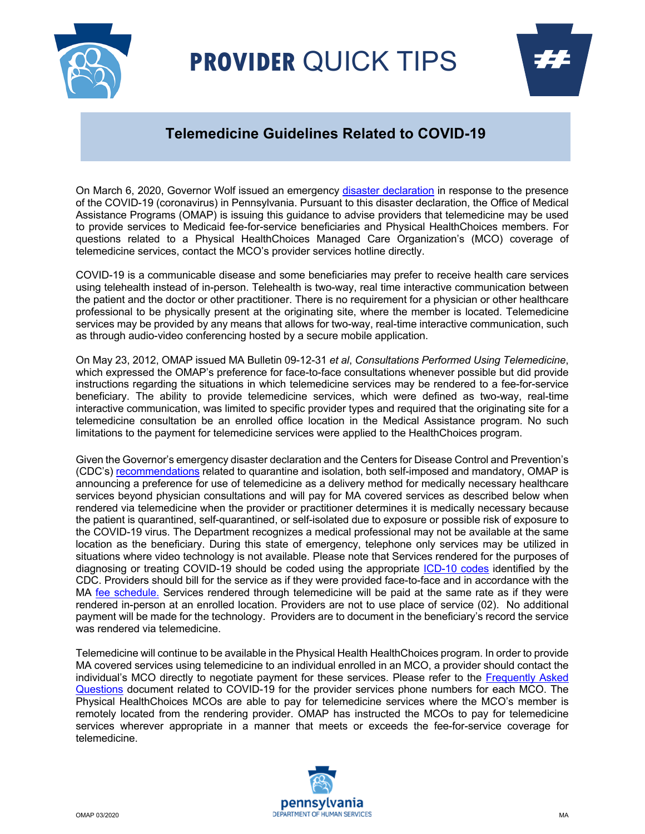

**PROVIDER** QUICK TIPS



## **Telemedicine Guidelines Related to COVID-19**

On March 6, 2020, Governor Wolf issued an emergency disaster declaration in response to the presence of the COVID-19 (coronavirus) in Pennsylvania. Pursuant to this disaster declaration, the Office of Medical Assistance Programs (OMAP) is issuing this guidance to advise providers that telemedicine may be used to provide services to Medicaid fee-for-service beneficiaries and Physical HealthChoices members. For questions related to a Physical HealthChoices Managed Care Organization's (MCO) coverage of telemedicine services, contact the MCO's provider services hotline directly.

COVID-19 is a communicable disease and some beneficiaries may prefer to receive health care services using telehealth instead of in-person. Telehealth is two-way, real time interactive communication between the patient and the doctor or other practitioner. There is no requirement for a physician or other healthcare professional to be physically present at the originating site, where the member is located. Telemedicine services may be provided by any means that allows for two-way, real-time interactive communication, such as through audio-video conferencing hosted by a secure mobile application.

On May 23, 2012, OMAP issued MA Bulletin 09-12-31 *et al*, *Consultations Performed Using Telemedicine*, which expressed the OMAP's preference for face-to-face consultations whenever possible but did provide instructions regarding the situations in which telemedicine services may be rendered to a fee-for-service beneficiary. The ability to provide telemedicine services, which were defined as two-way, real-time interactive communication, was limited to specific provider types and required that the originating site for a telemedicine consultation be an enrolled office location in the Medical Assistance program. No such limitations to the payment for telemedicine services were applied to the HealthChoices program.

Given the Governor's emergency disaster declaration and the Centers for Disease Control and Prevention's (CDC's) recommendations related to quarantine and isolation, both self-imposed and mandatory, OMAP is announcing a preference for use of telemedicine as a delivery method for medically necessary healthcare services beyond physician consultations and will pay for MA covered services as described below when rendered via telemedicine when the provider or practitioner determines it is medically necessary because the patient is quarantined, self-quarantined, or self-isolated due to exposure or possible risk of exposure to the COVID-19 virus. The Department recognizes a medical professional may not be available at the same location as the beneficiary. During this state of emergency, telephone only services may be utilized in situations where video technology is not available. Please note that Services rendered for the purposes of diagnosing or treating COVID-19 should be coded using the appropriate *ICD-10 codes* identified by the CDC. Providers should bill for the service as if they were provided face-to-face and in accordance with the MA fee schedule. Services rendered through telemedicine will be paid at the same rate as if they were rendered in-person at an enrolled location. Providers are not to use place of service (02). No additional payment will be made for the technology. Providers are to document in the beneficiary's record the service was rendered via telemedicine.

Telemedicine will continue to be available in the Physical Health HealthChoices program. In order to provide MA covered services using telemedicine to an individual enrolled in an MCO, a provider should contact the individual's MCO directly to negotiate payment for these services. Please refer to the **Frequently Asked** Questions document related to COVID-19 for the provider services phone numbers for each MCO. The Physical HealthChoices MCOs are able to pay for telemedicine services where the MCO's member is remotely located from the rendering provider. OMAP has instructed the MCOs to pay for telemedicine services wherever appropriate in a manner that meets or exceeds the fee-for-service coverage for telemedicine.